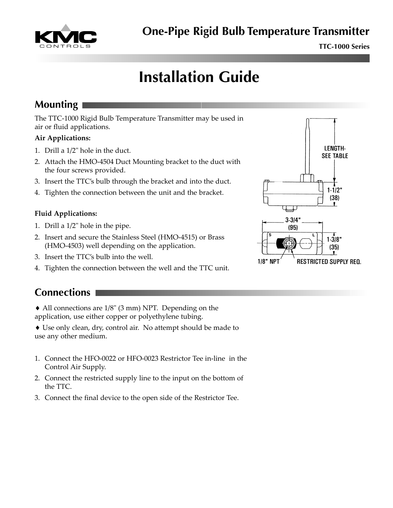

**TTC-1000 Series**

# **Installation Guide**

## **Mounting**

The TTC-1000 Rigid Bulb Temperature Transmitter may be used in air or fluid applications.

#### **Air Applications:**

- 1. Drill a 1/2" hole in the duct.
- 2. Attach the HMO-4504 Duct Mounting bracket to the duct with the four screws provided.
- 3. Insert the TTC's bulb through the bracket and into the duct.
- 4. Tighten the connection between the unit and the bracket.

#### **Fluid Applications:**

- 1. Drill a 1/2" hole in the pipe.
- 2. Insert and secure the Stainless Steel (HMO-4515) or Brass (HMO-4503) well depending on the application.
- 3. Insert the TTC's bulb into the well.
- 4. Tighten the connection between the well and the TTC unit.



♦ All connections are 1/8" (3 mm) NPT. Depending on the application, use either copper or polyethylene tubing.

♦ Use only clean, dry, control air. No attempt should be made to use any other medium.

- 1. Connect the HFO-0022 or HFO-0023 Restrictor Tee in-line in the Control Air Supply.
- 2. Connect the restricted supply line to the input on the bottom of the TTC.
- 3. Connect the final device to the open side of the Restrictor Tee.